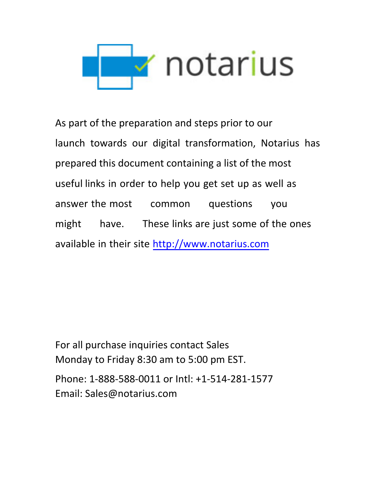

As part of the preparation and steps prior to our launch towards our digital transformation, Notarius has prepared this document containing a list of the most useful links in order to help you get set up as well as answer the most common questions you might have. These links are just some of the ones [available in their site http:](http://www.notarius.com/)//www.notarius.com

For all purchase inquiries contact Sales Monday to Friday 8:30 am to 5:00 pm EST. Phone: 1-888-588-0011 or Intl: +1-514-281-1577 Email: Sales@notarius.com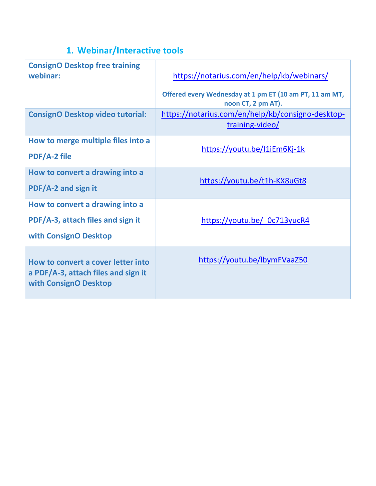## **1. Webinar/Interactive tools**

| <b>ConsignO Desktop free training</b><br>webinar:                                                  | https://notarius.com/en/help/kb/webinars/<br>Offered every Wednesday at 1 pm ET (10 am PT, 11 am MT,<br>noon CT, 2 pm AT). |
|----------------------------------------------------------------------------------------------------|----------------------------------------------------------------------------------------------------------------------------|
| <b>ConsignO Desktop video tutorial:</b>                                                            | https://notarius.com/en/help/kb/consigno-desktop-<br>training-video/                                                       |
| How to merge multiple files into a<br><b>PDF/A-2 file</b>                                          | https://youtu.be/I1iEm6Kj-1k                                                                                               |
| How to convert a drawing into a<br>PDF/A-2 and sign it                                             | https://youtu.be/t1h-KX8uGt8                                                                                               |
| How to convert a drawing into a<br>PDF/A-3, attach files and sign it<br>with ConsignO Desktop      | https://youtu.be/ 0c713yucR4                                                                                               |
| How to convert a cover letter into<br>a PDF/A-3, attach files and sign it<br>with ConsignO Desktop | https://youtu.be/lbymFVaaZ50                                                                                               |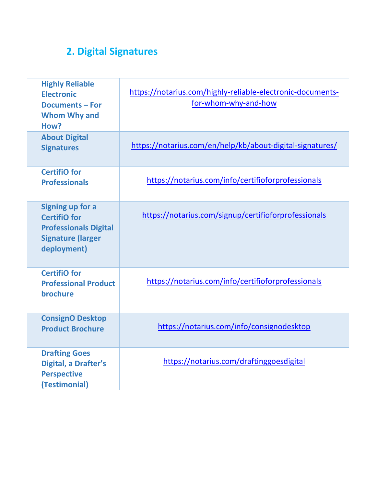## **2. Digital Signatures**

| <b>Highly Reliable</b><br><b>Electronic</b><br><b>Documents - For</b><br><b>Whom Why and</b><br>How?               | https://notarius.com/highly-reliable-electronic-documents-<br>for-whom-why-and-how |
|--------------------------------------------------------------------------------------------------------------------|------------------------------------------------------------------------------------|
| <b>About Digital</b><br><b>Signatures</b>                                                                          | https://notarius.com/en/help/kb/about-digital-signatures/                          |
| <b>CertifiO</b> for<br><b>Professionals</b>                                                                        | https://notarius.com/info/certifioforprofessionals                                 |
| Signing up for a<br><b>CertifiO</b> for<br><b>Professionals Digital</b><br><b>Signature (larger</b><br>deployment) | https://notarius.com/signup/certifioforprofessionals                               |
| <b>CertifiO for</b><br><b>Professional Product</b><br>brochure                                                     | https://notarius.com/info/certifioforprofessionals                                 |
| <b>ConsignO Desktop</b><br><b>Product Brochure</b>                                                                 | https://notarius.com/info/consignodesktop                                          |
| <b>Drafting Goes</b><br>Digital, a Drafter's<br><b>Perspective</b><br>(Testimonial)                                | https://notarius.com/draftinggoesdigital                                           |